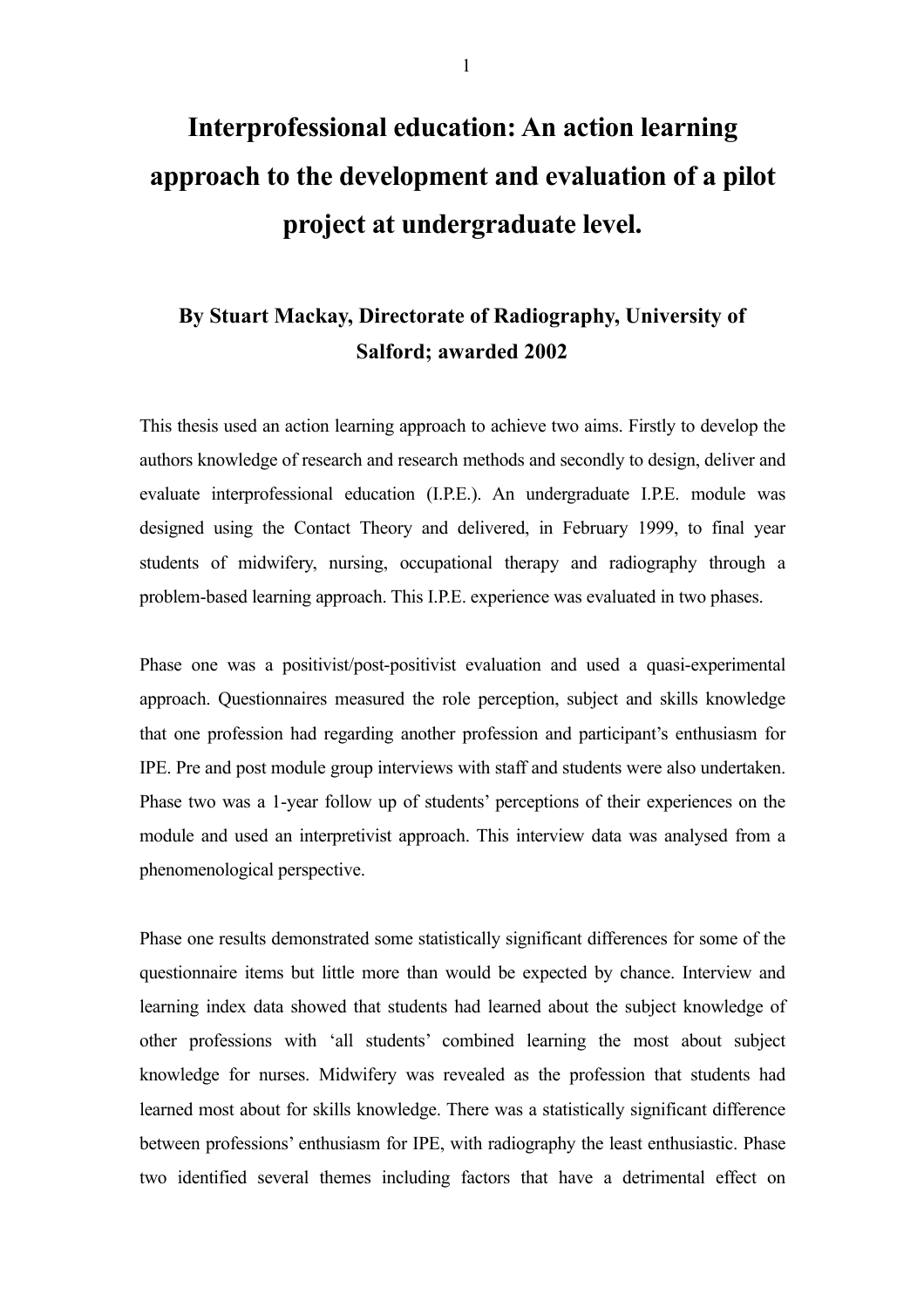## **Interprofessional education: An action learning approach to the development and evaluation of a pilot project at undergraduate level.**

## **By Stuart Mackay, Directorate of Radiography, University of Salford; awarded 2002**

This thesis used an action learning approach to achieve two aims. Firstly to develop the authors knowledge of research and research methods and secondly to design, deliver and evaluate interprofessional education (I.P.E.). An undergraduate I.P.E. module was designed using the Contact Theory and delivered, in February 1999, to final year students of midwifery, nursing, occupational therapy and radiography through a problem-based learning approach. This I.P.E. experience was evaluated in two phases.

Phase one was a positivist/post-positivist evaluation and used a quasi-experimental approach. Questionnaires measured the role perception, subject and skills knowledge that one profession had regarding another profession and participant's enthusiasm for IPE. Pre and post module group interviews with staff and students were also undertaken. Phase two was a 1-year follow up of students' perceptions of their experiences on the module and used an interpretivist approach. This interview data was analysed from a phenomenological perspective.

Phase one results demonstrated some statistically significant differences for some of the questionnaire items but little more than would be expected by chance. Interview and learning index data showed that students had learned about the subject knowledge of other professions with 'all students' combined learning the most about subject knowledge for nurses. Midwifery was revealed as the profession that students had learned most about for skills knowledge. There was a statistically significant difference between professions' enthusiasm for IPE, with radiography the least enthusiastic. Phase two identified several themes including factors that have a detrimental effect on